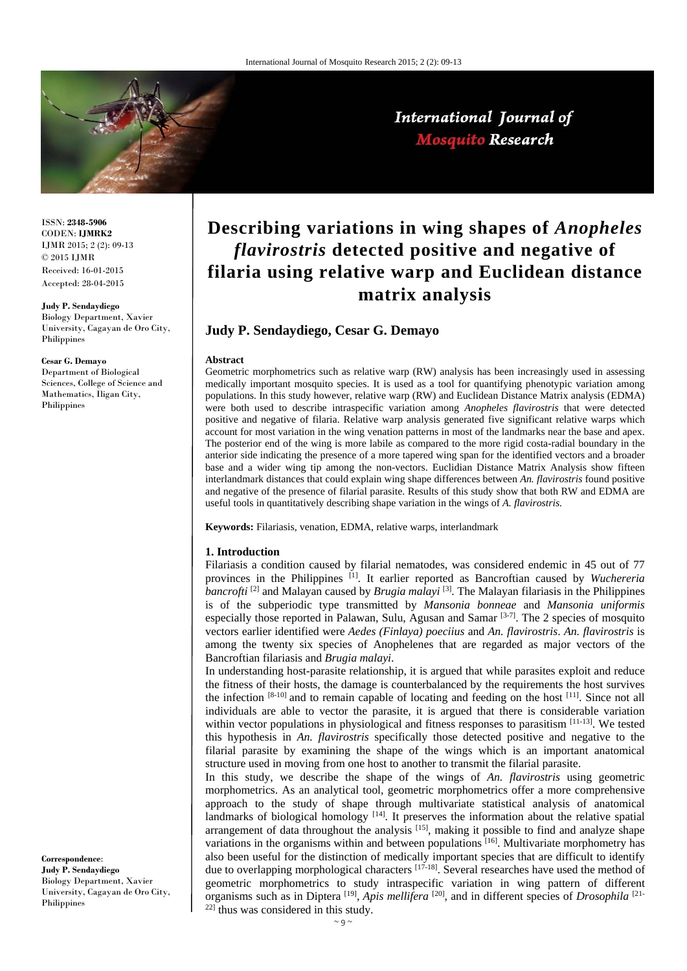

International Journal of **Mosquito Research** 

ISSN: **2348-5906** CODEN: **IJMRK2** IJMR 2015; 2 (2): 09-13  $\odot$  2015 IJMR Received: 16-01-2015 Accepted: 28-04-2015

#### **Judy P. Sendaydiego**

Biology Department, Xavier University, Cagayan de Oro City, Philippines

#### **Cesar G. Demayo**

Department of Biological Sciences, College of Science and Mathematics, Iligan City, Philippines

#### **Correspondence**: **Judy P. Sendaydiego**  Biology Department, Xavier University, Cagayan de Oro City, Philippines

# **Describing variations in wing shapes of** *Anopheles flavirostris* **detected positive and negative of filaria using relative warp and Euclidean distance matrix analysis**

# **Judy P. Sendaydiego, Cesar G. Demayo**

#### **Abstract**

Geometric morphometrics such as relative warp (RW) analysis has been increasingly used in assessing medically important mosquito species. It is used as a tool for quantifying phenotypic variation among populations. In this study however, relative warp (RW) and Euclidean Distance Matrix analysis (EDMA) were both used to describe intraspecific variation among *Anopheles flavirostris* that were detected positive and negative of filaria. Relative warp analysis generated five significant relative warps which account for most variation in the wing venation patterns in most of the landmarks near the base and apex. The posterior end of the wing is more labile as compared to the more rigid costa-radial boundary in the anterior side indicating the presence of a more tapered wing span for the identified vectors and a broader base and a wider wing tip among the non-vectors. Euclidian Distance Matrix Analysis show fifteen interlandmark distances that could explain wing shape differences between *An. flavirostris* found positive and negative of the presence of filarial parasite. Results of this study show that both RW and EDMA are useful tools in quantitatively describing shape variation in the wings of *A. flavirostris.*

**Keywords:** Filariasis, venation, EDMA, relative warps, interlandmark

#### **1. Introduction**

Filariasis a condition caused by filarial nematodes, was considered endemic in 45 out of 77 provinces in the Philippines [1]. It earlier reported as Bancroftian caused by *Wuchereria bancrofti* <sup>[2]</sup> and Malayan caused by *Brugia malayi* <sup>[3]</sup>. The Malayan filariasis in the Philippines is of the subperiodic type transmitted by *Mansonia bonneae* and *Mansonia uniformis* especially those reported in Palawan, Sulu, Agusan and Samar  $[3-7]$ . The 2 species of mosquito vectors earlier identified were *Aedes (Finlaya) poeciius* and *An. flavirostris*. *An. flavirostris* is among the twenty six species of Anophelenes that are regarded as major vectors of the Bancroftian filariasis and *Brugia malayi*.

In understanding host-parasite relationship, it is argued that while parasites exploit and reduce the fitness of their hosts, the damage is counterbalanced by the requirements the host survives the infection [8-10] and to remain capable of locating and feeding on the host [11]. Since not all individuals are able to vector the parasite, it is argued that there is considerable variation within vector populations in physiological and fitness responses to parasitism [11-13]. We tested this hypothesis in *An. flavirostris* specifically those detected positive and negative to the filarial parasite by examining the shape of the wings which is an important anatomical structure used in moving from one host to another to transmit the filarial parasite.

In this study, we describe the shape of the wings of *An. flavirostris* using geometric morphometrics. As an analytical tool, geometric morphometrics offer a more comprehensive approach to the study of shape through multivariate statistical analysis of anatomical landmarks of biological homology  $[14]$ . It preserves the information about the relative spatial arrangement of data throughout the analysis<sup>[15]</sup>, making it possible to find and analyze shape variations in the organisms within and between populations <sup>[16]</sup>. Multivariate morphometry has also been useful for the distinction of medically important species that are difficult to identify due to overlapping morphological characters [17-18]. Several researches have used the method of geometric morphometrics to study intraspecific variation in wing pattern of different organisms such as in Diptera <sup>[19]</sup>, *Apis mellifera* <sup>[20]</sup>, and in different species of *Drosophila* <sup>[21-</sup>]  $22$ ] thus was considered in this study.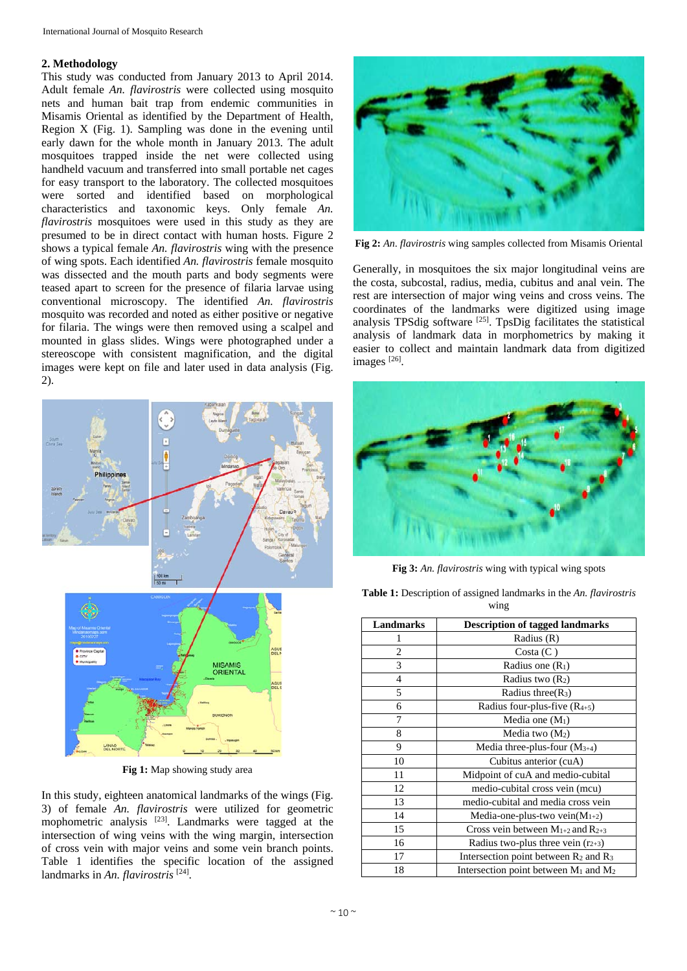### **2. Methodology**

This study was conducted from January 2013 to April 2014. Adult female *An. flavirostris* were collected using mosquito nets and human bait trap from endemic communities in Misamis Oriental as identified by the Department of Health, Region X (Fig. 1). Sampling was done in the evening until early dawn for the whole month in January 2013. The adult mosquitoes trapped inside the net were collected using handheld vacuum and transferred into small portable net cages for easy transport to the laboratory. The collected mosquitoes were sorted and identified based on morphological characteristics and taxonomic keys. Only female *An. flavirostris* mosquitoes were used in this study as they are presumed to be in direct contact with human hosts. Figure 2 shows a typical female *An. flavirostris* wing with the presence of wing spots. Each identified *An. flavirostris* female mosquito was dissected and the mouth parts and body segments were teased apart to screen for the presence of filaria larvae using conventional microscopy. The identified *An. flavirostris*  mosquito was recorded and noted as either positive or negative for filaria. The wings were then removed using a scalpel and mounted in glass slides. Wings were photographed under a stereoscope with consistent magnification, and the digital images were kept on file and later used in data analysis (Fig. 2).



**Fig 1:** Map showing study area

In this study, eighteen anatomical landmarks of the wings (Fig. 3) of female *An. flavirostris* were utilized for geometric mophometric analysis [23]. Landmarks were tagged at the intersection of wing veins with the wing margin, intersection of cross vein with major veins and some vein branch points. Table 1 identifies the specific location of the assigned landmarks in *An. flavirostris* [24].



**Fig 2:** *An*. *flavirostris* wing samples collected from Misamis Oriental

Generally, in mosquitoes the six major longitudinal veins are the costa, subcostal, radius, media, cubitus and anal vein. The rest are intersection of major wing veins and cross veins. The coordinates of the landmarks were digitized using image analysis TPSdig software [25]. TpsDig facilitates the statistical analysis of landmark data in morphometrics by making it easier to collect and maintain landmark data from digitized images [26].



**Fig 3:** *An. flavirostris* wing with typical wing spots

**Table 1:** Description of assigned landmarks in the *An. flavirostris* wing

| <b>Landmarks</b> | <b>Description of tagged landmarks</b>                       |  |  |
|------------------|--------------------------------------------------------------|--|--|
| 1                | Radius (R)                                                   |  |  |
| $\overline{c}$   | Costa (C)                                                    |  |  |
| 3                | Radius one $(R_1)$                                           |  |  |
| 4                | Radius two $(R_2)$                                           |  |  |
| 5                | Radius three $(R_3)$                                         |  |  |
| 6                | Radius four-plus-five $(R_{4+5})$                            |  |  |
| 7                | Media one $(M_1)$                                            |  |  |
| 8                | Media two $(M_2)$                                            |  |  |
| 9                | Media three-plus-four $(M_{3+4})$                            |  |  |
| 10               | Cubitus anterior (cuA)                                       |  |  |
| 11               | Midpoint of cuA and medio-cubital                            |  |  |
| 12               | medio-cubital cross vein (mcu)                               |  |  |
| 13               | medio-cubital and media cross vein                           |  |  |
| 14               | Media-one-plus-two vein $(M_{1+2})$                          |  |  |
| 15               | Cross vein between $M_{1+2}$ and $R_{2+3}$                   |  |  |
| 16               | Radius two-plus three vein $(r_{2+3})$                       |  |  |
| 17               | Intersection point between $R_2$ and $R_3$                   |  |  |
| 18               | Intersection point between M <sub>1</sub> and M <sub>2</sub> |  |  |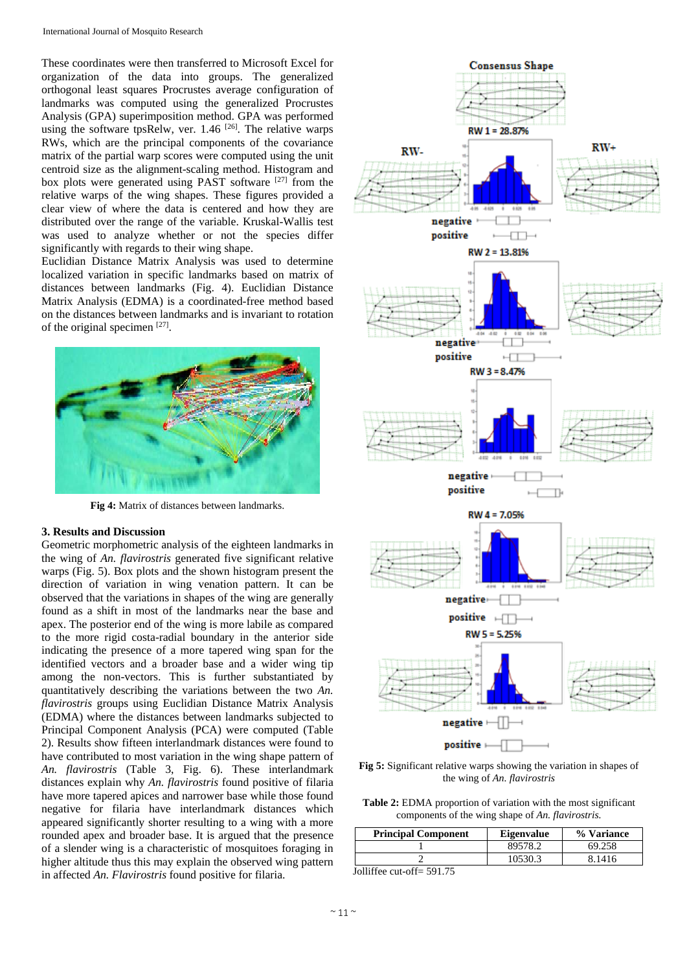These coordinates were then transferred to Microsoft Excel for organization of the data into groups. The generalized orthogonal least squares Procrustes average configuration of landmarks was computed using the generalized Procrustes Analysis (GPA) superimposition method. GPA was performed using the software tpsRelw, ver. 1.46<sup>[26]</sup>. The relative warps RWs, which are the principal components of the covariance matrix of the partial warp scores were computed using the unit centroid size as the alignment-scaling method. Histogram and box plots were generated using PAST software [27] from the relative warps of the wing shapes. These figures provided a clear view of where the data is centered and how they are distributed over the range of the variable. Kruskal-Wallis test was used to analyze whether or not the species differ significantly with regards to their wing shape.

Euclidian Distance Matrix Analysis was used to determine localized variation in specific landmarks based on matrix of distances between landmarks (Fig. 4). Euclidian Distance Matrix Analysis (EDMA) is a coordinated-free method based on the distances between landmarks and is invariant to rotation of the original specimen [27].



**Fig 4:** Matrix of distances between landmarks.

# **3. Results and Discussion**

Geometric morphometric analysis of the eighteen landmarks in the wing of *An. flavirostris* generated five significant relative warps (Fig. 5). Box plots and the shown histogram present the direction of variation in wing venation pattern. It can be observed that the variations in shapes of the wing are generally found as a shift in most of the landmarks near the base and apex. The posterior end of the wing is more labile as compared to the more rigid costa-radial boundary in the anterior side indicating the presence of a more tapered wing span for the identified vectors and a broader base and a wider wing tip among the non-vectors. This is further substantiated by quantitatively describing the variations between the two *An. flavirostris* groups using Euclidian Distance Matrix Analysis (EDMA) where the distances between landmarks subjected to Principal Component Analysis (PCA) were computed (Table 2). Results show fifteen interlandmark distances were found to have contributed to most variation in the wing shape pattern of *An. flavirostris* (Table 3, Fig. 6). These interlandmark distances explain why *An. flavirostris* found positive of filaria have more tapered apices and narrower base while those found negative for filaria have interlandmark distances which appeared significantly shorter resulting to a wing with a more rounded apex and broader base. It is argued that the presence of a slender wing is a characteristic of mosquitoes foraging in higher altitude thus this may explain the observed wing pattern in affected *An. Flavirostris* found positive for filaria.



**Fig 5:** Significant relative warps showing the variation in shapes of the wing of *An. flavirostris*

**Table 2:** EDMA proportion of variation with the most significant components of the wing shape of *An. flavirostris.*

| <b>Principal Component</b> | <b>Eigenvalue</b> | % Variance |
|----------------------------|-------------------|------------|
|                            | 89578.2           | 69.258     |
|                            | 10530.3           | 8.1416     |

Jolliffee cut-off= 591.75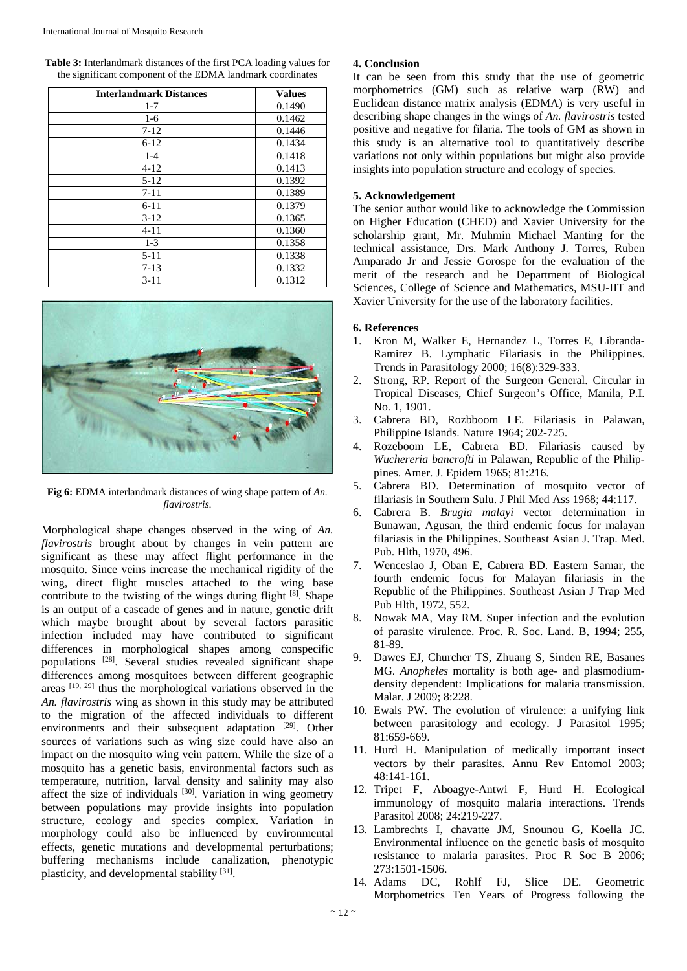**Table 3:** Interlandmark distances of the first PCA loading values for the significant component of the EDMA landmark coordinates

| <b>Interlandmark Distances</b> | <b>Values</b> |
|--------------------------------|---------------|
| $1 - 7$                        | 0.1490        |
| $1-6$                          | 0.1462        |
| $7 - 12$                       | 0.1446        |
| $6 - 12$                       | 0.1434        |
| $1 - 4$                        | 0.1418        |
| $4 - 12$                       | 0.1413        |
| $5 - 12$                       | 0.1392        |
| $7 - 11$                       | 0.1389        |
| $6 - 11$                       | 0.1379        |
| $3-12$                         | 0.1365        |
| $4 - 11$                       | 0.1360        |
| $1-3$                          | 0.1358        |
| $5 - 11$                       | 0.1338        |
| $7 - 13$                       | 0.1332        |
| $3 - 11$                       | 0.1312        |



**Fig 6:** EDMA interlandmark distances of wing shape pattern of *An. flavirostris*.

Morphological shape changes observed in the wing of *An. flavirostris* brought about by changes in vein pattern are significant as these may affect flight performance in the mosquito. Since veins increase the mechanical rigidity of the wing, direct flight muscles attached to the wing base contribute to the twisting of the wings during flight  $[8]$ . Shape is an output of a cascade of genes and in nature, genetic drift which maybe brought about by several factors parasitic infection included may have contributed to significant differences in morphological shapes among conspecific populations [28]. Several studies revealed significant shape differences among mosquitoes between different geographic areas [19, 29] thus the morphological variations observed in the *An. flavirostris* wing as shown in this study may be attributed to the migration of the affected individuals to different environments and their subsequent adaptation [29]. Other sources of variations such as wing size could have also an impact on the mosquito wing vein pattern. While the size of a mosquito has a genetic basis, environmental factors such as temperature, nutrition, larval density and salinity may also affect the size of individuals <sup>[30]</sup>. Variation in wing geometry between populations may provide insights into population structure, ecology and species complex. Variation in morphology could also be influenced by environmental effects, genetic mutations and developmental perturbations; buffering mechanisms include canalization, phenotypic plasticity, and developmental stability [31].

## **4. Conclusion**

It can be seen from this study that the use of geometric morphometrics (GM) such as relative warp (RW) and Euclidean distance matrix analysis (EDMA) is very useful in describing shape changes in the wings of *An. flavirostris* tested positive and negative for filaria. The tools of GM as shown in this study is an alternative tool to quantitatively describe variations not only within populations but might also provide insights into population structure and ecology of species.

## **5. Acknowledgement**

The senior author would like to acknowledge the Commission on Higher Education (CHED) and Xavier University for the scholarship grant, Mr. Muhmin Michael Manting for the technical assistance, Drs. Mark Anthony J. Torres, Ruben Amparado Jr and Jessie Gorospe for the evaluation of the merit of the research and he Department of Biological Sciences, College of Science and Mathematics, MSU-IIT and Xavier University for the use of the laboratory facilities.

# **6. References**

- 1. Kron M, Walker E, Hernandez L, Torres E, Libranda-Ramirez B. Lymphatic Filariasis in the Philippines. Trends in Parasitology 2000; 16(8):329-333.
- 2. Strong, RP. Report of the Surgeon General. Circular in Tropical Diseases, Chief Surgeon's Office, Manila, P.I. No. 1, 1901.
- 3. Cabrera BD, Rozbboom LE. Filariasis in Palawan, Philippine Islands. Nature 1964; 202-725.
- 4. Rozeboom LE, Cabrera BD. Filariasis caused by *Wuchereria bancrofti* in Palawan, Republic of the Philippines. Amer. J. Epidem 1965; 81:216.
- 5. Cabrera BD. Determination of mosquito vector of filariasis in Southern Sulu. J Phil Med Ass 1968; 44:117.
- 6. Cabrera B. *Brugia malayi* vector determination in Bunawan, Agusan, the third endemic focus for malayan filariasis in the Philippines. Southeast Asian J. Trap. Med. Pub. Hlth, 1970, 496.
- 7. Wenceslao J, Oban E, Cabrera BD. Eastern Samar, the fourth endemic focus for Malayan filariasis in the Republic of the Philippines. Southeast Asian J Trap Med Pub Hlth, 1972, 552.
- 8. Nowak MA, May RM. Super infection and the evolution of parasite virulence. Proc. R. Soc. Land. B, 1994; 255, 81-89.
- 9. Dawes EJ, Churcher TS, Zhuang S, Sinden RE, Basanes MG. *Anopheles* mortality is both age- and plasmodiumdensity dependent: Implications for malaria transmission. Malar. J 2009; 8:228.
- 10. Ewals PW. The evolution of virulence: a unifying link between parasitology and ecology. J Parasitol 1995; 81:659-669.
- 11. Hurd H. Manipulation of medically important insect vectors by their parasites. Annu Rev Entomol 2003; 48:141-161.
- 12. Tripet F, Aboagye-Antwi F, Hurd H. Ecological immunology of mosquito malaria interactions. Trends Parasitol 2008; 24:219-227.
- 13. Lambrechts I, chavatte JM, Snounou G, Koella JC. Environmental influence on the genetic basis of mosquito resistance to malaria parasites. Proc R Soc B 2006; 273:1501-1506.
- 14. Adams DC, Rohlf FJ, Slice DE. Geometric Morphometrics Ten Years of Progress following the